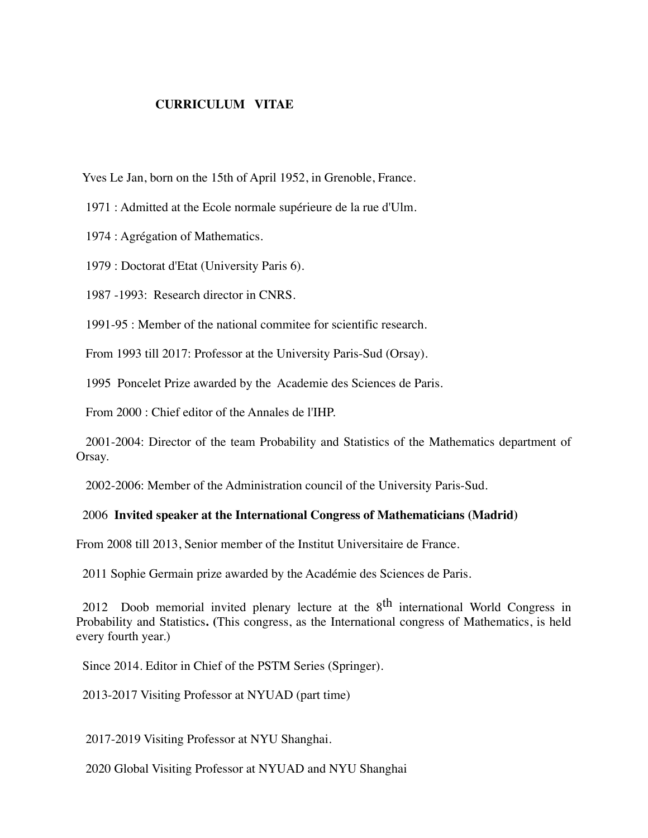## **CURRICULUM VITAE**

Yves Le Jan, born on the 15th of April 1952, in Grenoble, France.

1971 : Admitted at the Ecole normale supérieure de la rue d'Ulm.

1974 : Agrégation of Mathematics.

1979 : Doctorat d'Etat (University Paris 6).

1987 -1993: Research director in CNRS.

1991-95 : Member of the national commitee for scientific research.

From 1993 till 2017: Professor at the University Paris-Sud (Orsay).

1995 Poncelet Prize awarded by the Academie des Sciences de Paris.

From 2000 : Chief editor of the Annales de l'IHP.

2001-2004: Director of the team Probability and Statistics of the Mathematics department of Orsay.

2002-2006: Member of the Administration council of the University Paris-Sud.

## 2006 **Invited speaker at the International Congress of Mathematicians (Madrid)**

From 2008 till 2013, Senior member of the Institut Universitaire de France.

2011 Sophie Germain prize awarded by the Académie des Sciences de Paris.

 Probability and Statistics**. (**This congress, as the International congress of Mathematics, is held 2012 Doob memorial invited plenary lecture at the  $8<sup>th</sup>$  international World Congress in every fourth year.)

Since 2014. Editor in Chief of the PSTM Series (Springer).

2013-2017 Visiting Professor at NYUAD (part time)

2017-2019 Visiting Professor at NYU Shanghai.

2020 Global Visiting Professor at NYUAD and NYU Shanghai